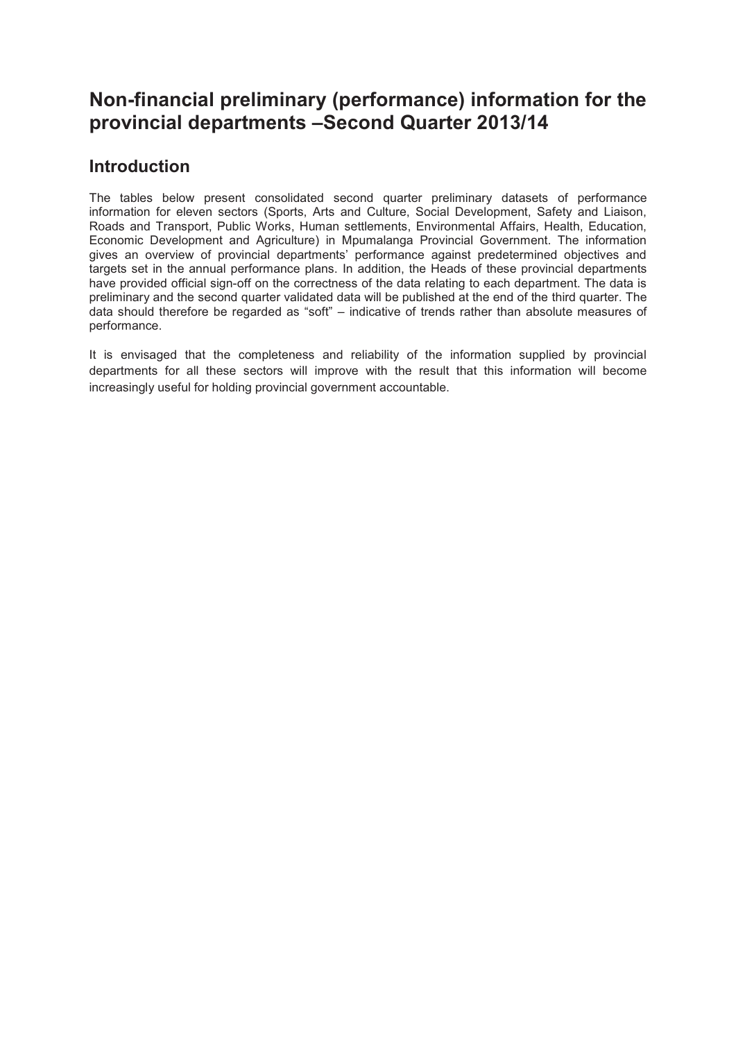# **Non-financial preliminary (performance) information for the provincial departments –Second Quarter 2013/14**

# **Introduction**

The tables below present consolidated second quarter preliminary datasets of performance information for eleven sectors (Sports, Arts and Culture, Social Development, Safety and Liaison, Roads and Transport, Public Works, Human settlements, Environmental Affairs, Health, Education, Economic Development and Agriculture) in Mpumalanga Provincial Government. The information gives an overview of provincial departments' performance against predetermined objectives and targets set in the annual performance plans. In addition, the Heads of these provincial departments have provided official sign-off on the correctness of the data relating to each department. The data is preliminary and the second quarter validated data will be published at the end of the third quarter. The data should therefore be regarded as "soft" – indicative of trends rather than absolute measures of performance.

It is envisaged that the completeness and reliability of the information supplied by provincial departments for all these sectors will improve with the result that this information will become increasingly useful for holding provincial government accountable.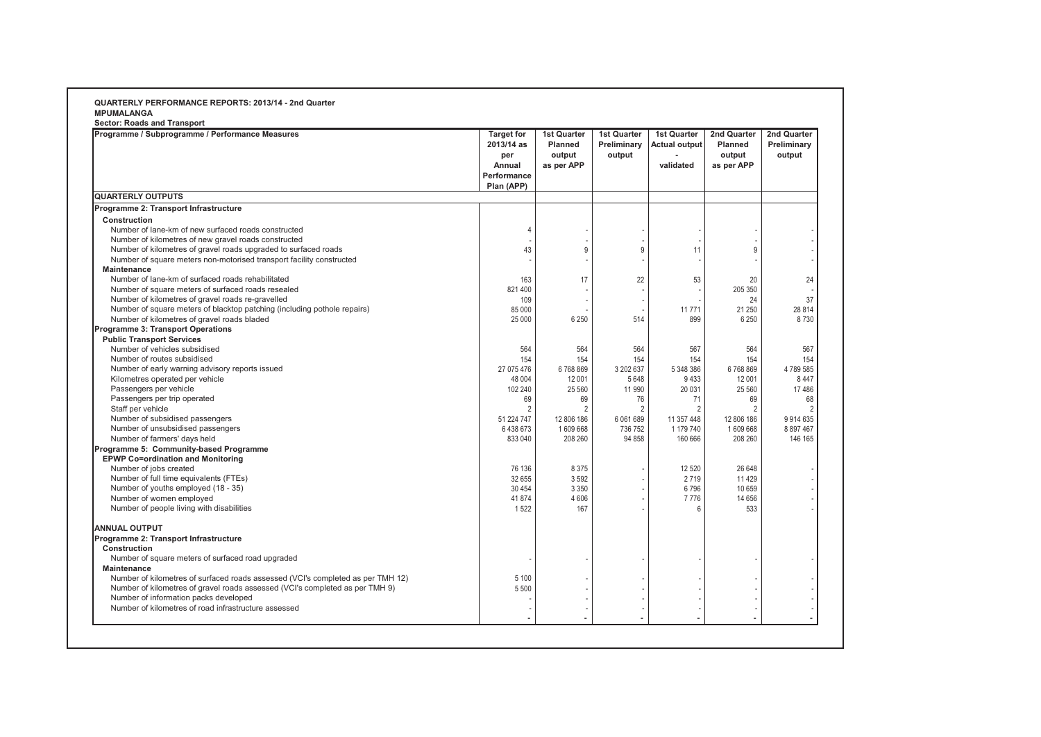| <b>Sector: Roads and Transport</b>                                              |                                                                 |                                                              |                                             |                                                         |                                                       |                                      |
|---------------------------------------------------------------------------------|-----------------------------------------------------------------|--------------------------------------------------------------|---------------------------------------------|---------------------------------------------------------|-------------------------------------------------------|--------------------------------------|
| Programme / Subprogramme / Performance Measures                                 | <b>Target for</b><br>2013/14 as<br>per<br>Annual<br>Performance | <b>1st Quarter</b><br><b>Planned</b><br>output<br>as per APP | <b>1st Quarter</b><br>Preliminary<br>output | <b>1st Quarter</b><br><b>Actual output</b><br>validated | 2nd Quarter<br><b>Planned</b><br>output<br>as per APP | 2nd Quarter<br>Preliminary<br>output |
|                                                                                 | Plan (APP)                                                      |                                                              |                                             |                                                         |                                                       |                                      |
| <b>QUARTERLY OUTPUTS</b>                                                        |                                                                 |                                                              |                                             |                                                         |                                                       |                                      |
| Programme 2: Transport Infrastructure                                           |                                                                 |                                                              |                                             |                                                         |                                                       |                                      |
| Construction                                                                    |                                                                 |                                                              |                                             |                                                         |                                                       |                                      |
| Number of lane-km of new surfaced roads constructed                             | $\overline{4}$                                                  |                                                              |                                             |                                                         |                                                       |                                      |
| Number of kilometres of new gravel roads constructed                            |                                                                 |                                                              |                                             |                                                         |                                                       |                                      |
| Number of kilometres of gravel roads upgraded to surfaced roads                 | 43                                                              | 9                                                            | $9\,$                                       | 11                                                      | 9                                                     |                                      |
| Number of square meters non-motorised transport facility constructed            |                                                                 |                                                              |                                             |                                                         |                                                       |                                      |
| Maintenance                                                                     |                                                                 |                                                              |                                             |                                                         |                                                       |                                      |
| Number of lane-km of surfaced roads rehabilitated                               | 163                                                             | 17                                                           | 22                                          | 53                                                      | 20                                                    | 24                                   |
| Number of square meters of surfaced roads resealed                              | 821 400                                                         |                                                              |                                             |                                                         | 205 350                                               |                                      |
| Number of kilometres of gravel roads re-gravelled                               | 109                                                             |                                                              |                                             |                                                         | 24                                                    | 37                                   |
| Number of square meters of blacktop patching (including pothole repairs)        | 85 000                                                          |                                                              |                                             | 11771                                                   | 21 250                                                | 28 8 14                              |
| Number of kilometres of gravel roads bladed                                     | 25 000                                                          | 6 2 5 0                                                      | 514                                         | 899                                                     | 6 2 5 0                                               | 8730                                 |
| Programme 3: Transport Operations                                               |                                                                 |                                                              |                                             |                                                         |                                                       |                                      |
| <b>Public Transport Services</b>                                                |                                                                 |                                                              |                                             |                                                         |                                                       |                                      |
| Number of vehicles subsidised                                                   | 564                                                             | 564                                                          | 564                                         | 567                                                     | 564                                                   | 567                                  |
| Number of routes subsidised                                                     | 154                                                             | 154                                                          | 154                                         | 154                                                     | 154                                                   | 154                                  |
| Number of early warning advisory reports issued                                 | 27 075 476                                                      | 6768869                                                      | 3 202 637                                   | 5 348 386                                               | 6768869                                               | 4789585                              |
| Kilometres operated per vehicle                                                 | 48 004                                                          | 12 001                                                       | 5648                                        | 9433                                                    | 12 001                                                | 8 4 4 7                              |
| Passengers per vehicle                                                          | 102 240                                                         | 25 5 60                                                      | 11 990                                      | 20 031                                                  | 25 560                                                | 17486                                |
| Passengers per trip operated                                                    | 69                                                              | 69                                                           | 76                                          | 71                                                      | 69                                                    | 68                                   |
| Staff per vehicle                                                               | $\overline{2}$                                                  | 2                                                            | $\overline{2}$                              | $\overline{2}$                                          | $\overline{2}$                                        |                                      |
| Number of subsidised passengers                                                 | 51 224 747                                                      | 12 806 186                                                   | 6 061 689                                   | 11 357 448                                              | 12 806 186                                            | 9914635                              |
| Number of unsubsidised passengers                                               | 6 438 673                                                       | 1609668                                                      | 736 752                                     | 1 179 740                                               | 1609668                                               | 8 8 9 7 4 6 7                        |
| Number of farmers' days held                                                    | 833 040                                                         | 208 260                                                      | 94 858                                      | 160 666                                                 | 208 260                                               | 146 165                              |
| Programme 5: Community-based Programme                                          |                                                                 |                                                              |                                             |                                                         |                                                       |                                      |
| <b>EPWP Co=ordination and Monitoring</b>                                        |                                                                 |                                                              |                                             |                                                         |                                                       |                                      |
| Number of jobs created                                                          | 76 136                                                          | 8 3 7 5                                                      |                                             | 12 5 20                                                 | 26 648                                                |                                      |
| Number of full time equivalents (FTEs)                                          | 32 655                                                          | 3592                                                         |                                             | 2719                                                    | 11 4 29                                               |                                      |
| Number of youths employed (18 - 35)                                             | 30 4 54                                                         | 3 3 5 0                                                      |                                             | 6796                                                    | 10 659                                                |                                      |
| Number of women employed                                                        | 41874                                                           | 4606                                                         |                                             | 7776                                                    | 14 656                                                |                                      |
| Number of people living with disabilities                                       | 1522                                                            | 167                                                          |                                             | 6                                                       | 533                                                   |                                      |
| <b>ANNUAL OUTPUT</b>                                                            |                                                                 |                                                              |                                             |                                                         |                                                       |                                      |
| Programme 2: Transport Infrastructure                                           |                                                                 |                                                              |                                             |                                                         |                                                       |                                      |
| Construction                                                                    |                                                                 |                                                              |                                             |                                                         |                                                       |                                      |
| Number of square meters of surfaced road upgraded                               |                                                                 |                                                              |                                             |                                                         |                                                       |                                      |
| Maintenance                                                                     |                                                                 |                                                              |                                             |                                                         |                                                       |                                      |
| Number of kilometres of surfaced roads assessed (VCI's completed as per TMH 12) | 5 100                                                           |                                                              |                                             |                                                         |                                                       |                                      |
| Number of kilometres of gravel roads assessed (VCI's completed as per TMH 9)    | 5 5 0 0                                                         |                                                              |                                             |                                                         |                                                       |                                      |
| Number of information packs developed                                           |                                                                 |                                                              |                                             |                                                         |                                                       |                                      |
| Number of kilometres of road infrastructure assessed                            |                                                                 |                                                              |                                             |                                                         |                                                       |                                      |
|                                                                                 |                                                                 |                                                              |                                             |                                                         |                                                       |                                      |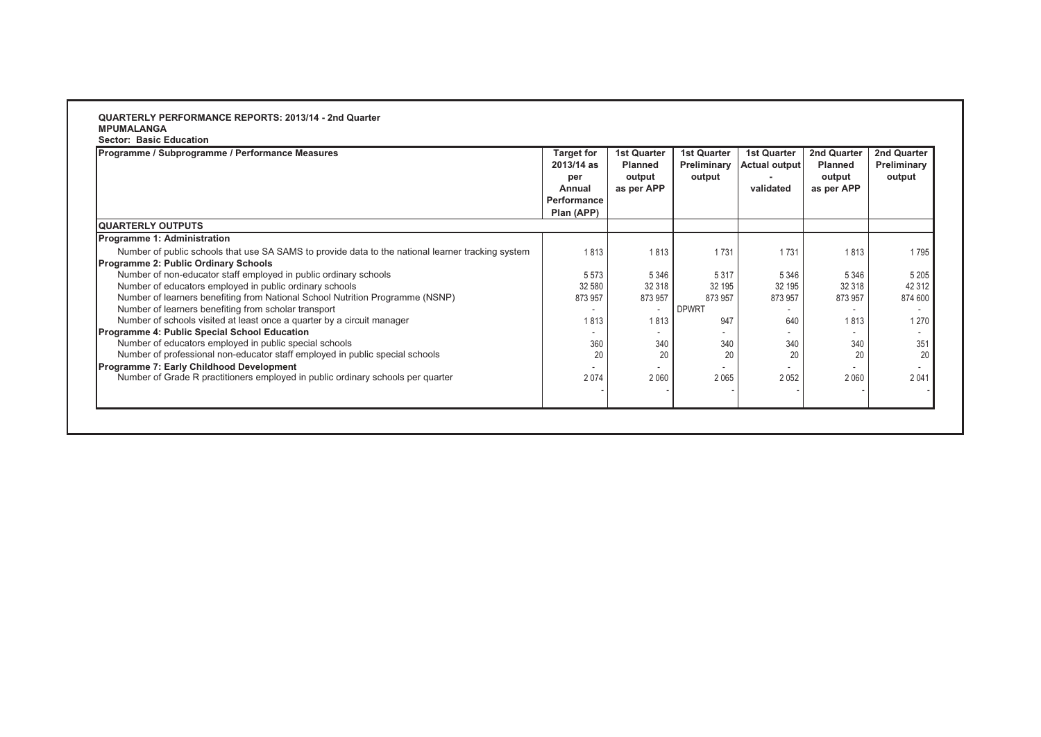### **QUARTERLY PERFORMANCE REPORTS: 2013/14 - 2nd Quarter MPUMALANGA Sector: Basic Education**

| Plan (APP) |         |              |         |         |                |
|------------|---------|--------------|---------|---------|----------------|
|            |         |              |         |         |                |
|            |         |              |         |         |                |
| 1813       | 1813    | 1731         | 1731    | 1813    | 1795           |
|            |         |              |         |         |                |
| 5573       | 5 3 4 6 | 5 3 1 7      | 5 3 4 6 | 5 3 4 6 | 5 2 0 5        |
| 32 580     | 32 318  | 32 195       | 32 195  | 32 318  | 42 312         |
| 873 957    | 873 957 | 873 957      | 873 957 | 873 957 | 874 600        |
|            |         | <b>DPWRT</b> |         |         | $\overline{a}$ |
| 1813       | 1813    | 947          | 640     | 1813    | 1 2 7 0        |
|            |         |              |         |         | $\overline{a}$ |
| 360        | 340     | 340          | 340     | 340     | 351            |
| 20         | 20      | 20           | 20      | 20      | 20             |
|            |         |              |         |         |                |
| 2074       | 2060    | 2 0 6 5      | 2052    | 2060    | 2041           |
|            |         |              |         |         |                |
|            |         |              |         |         |                |
|            |         |              |         |         |                |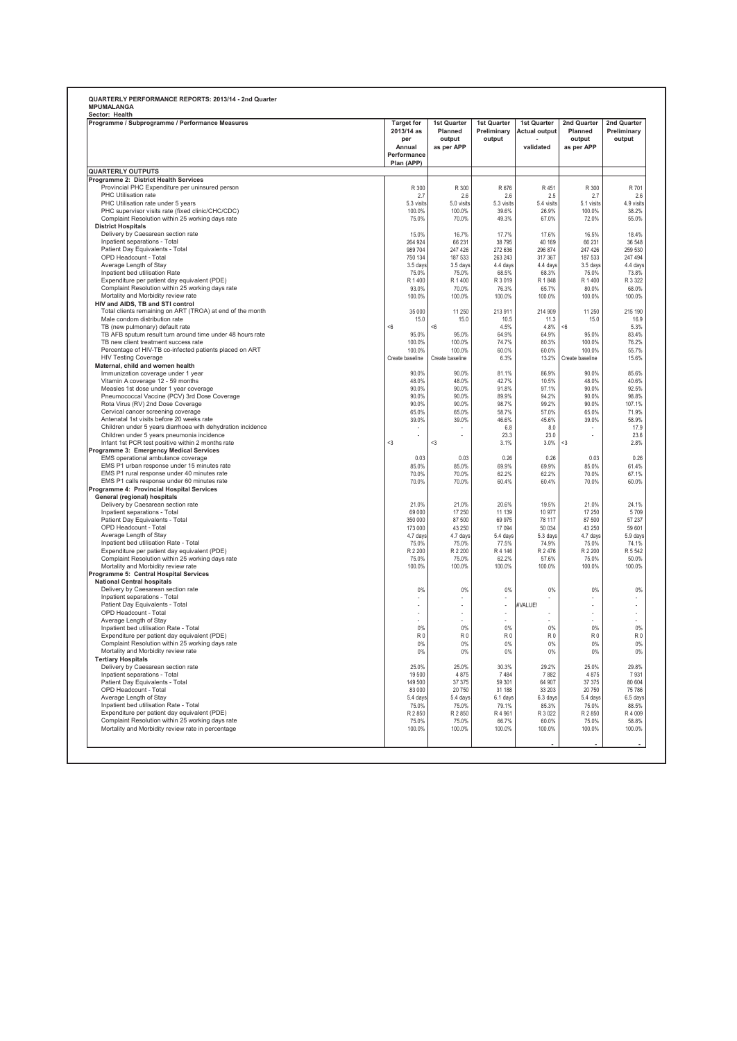| Programme / Subprogramme / Performance Measures                                                       | <b>Target for</b><br>2013/14 as<br>per<br>Annual<br>Performance<br>Plan (APP) | 1st Quarter<br>Planned<br>output<br>as per APP | 1st Quarter<br>Preliminary<br>output | 1st Quarter<br><b>Actual output</b><br>validated | 2nd Quarter<br>Planned<br>output<br>as per APP | 2nd Quarter<br>Preliminary<br>output |
|-------------------------------------------------------------------------------------------------------|-------------------------------------------------------------------------------|------------------------------------------------|--------------------------------------|--------------------------------------------------|------------------------------------------------|--------------------------------------|
| <b>QUARTERLY OUTPUTS</b>                                                                              |                                                                               |                                                |                                      |                                                  |                                                |                                      |
| Programme 2: District Health Services                                                                 |                                                                               |                                                |                                      |                                                  |                                                |                                      |
| Provincial PHC Expenditure per uninsured person                                                       | R 300                                                                         | R 300                                          | R 676                                | R 451                                            | R 300                                          | R 701                                |
| PHC Utilisation rate                                                                                  | 2.7                                                                           | 2.6                                            | 2.6                                  | 2.5                                              | 2.7                                            | 2.6                                  |
| PHC Utilisation rate under 5 years                                                                    | 5.3 visits                                                                    | 5.0 visits                                     | 5.3 visits                           | 5.4 visits                                       | 5.1 visits                                     | 4.9 visits                           |
| PHC supervisor visits rate (fixed clinic/CHC/CDC)<br>Complaint Resolution within 25 working days rate | 100.0%<br>75.0%                                                               | 100.0%<br>70.0%                                | 39.6%<br>49.3%                       | 26.9%<br>67.0%                                   | 100.0%<br>72.0%                                | 38.2%<br>55.0%                       |
| <b>District Hospitals</b>                                                                             |                                                                               |                                                |                                      |                                                  |                                                |                                      |
| Delivery by Caesarean section rate                                                                    | 15.0%                                                                         | 16.7%                                          | 17.7%                                | 17.6%                                            | 16.5%                                          | 18.4%                                |
| Inpatient separations - Total                                                                         | 264 924                                                                       | 66 231                                         | 38 795                               | 40 169                                           | 66 231                                         | 36 548                               |
| Patient Day Equivalents - Total                                                                       | 989 704                                                                       | 247 426                                        | 272 636                              | 296 874                                          | 247 426                                        | 259 530                              |
| OPD Headcount - Total                                                                                 | 750 134                                                                       | 187 533                                        | 263 243                              | 317 367                                          | 187 533                                        | 247 494                              |
| Average Length of Stay                                                                                | 3.5 days                                                                      | 3.5 days                                       | 4.4 days                             | 4.4 days                                         | 3.5 days                                       | 4.4 days                             |
| Inpatient bed utilisation Rate                                                                        | 75.0%                                                                         | 75.0%                                          | 68.5%                                | 68.3%                                            | 75.0%                                          | 73.8%                                |
| Expenditure per patient day equivalent (PDE)                                                          | R 1 400                                                                       | R 1 400                                        | R 3 019                              | R 1848                                           | R 1 400                                        | R 3 3 2 2                            |
| Complaint Resolution within 25 working days rate<br>Mortality and Morbidity review rate               | 93.0%<br>100.0%                                                               | 70.0%<br>100.0%                                | 76.3%<br>100.0%                      | 65.7%<br>100.0%                                  | 80.0%<br>100.0%                                | 68.0%<br>100.0%                      |
| HIV and AIDS, TB and STI control                                                                      |                                                                               |                                                |                                      |                                                  |                                                |                                      |
| Total clients remaining on ART (TROA) at end of the month                                             | 35 000                                                                        | 11 250                                         | 213 911                              | 214 909                                          | 11 250                                         | 215 190                              |
| Male condom distribution rate                                                                         | 15.0                                                                          | 15.0                                           | 10.5                                 | 11.3                                             | 15.0                                           | 16.9                                 |
| TB (new pulmonary) default rate                                                                       | <6                                                                            | < 6                                            | 4.5%                                 | 4.8%                                             | $<\!\!6$                                       | 5.3%                                 |
| TB AFB sputum result turn around time under 48 hours rate                                             | 95.0%                                                                         | 95.0%                                          | 64.9%                                | 64.9%                                            | 95.0%                                          | 83.4%                                |
| TB new client treatment success rate                                                                  | 100.0%                                                                        | 100.0%                                         | 74.7%                                | 80.3%                                            | 100.0%                                         | 76.2%                                |
| Percentage of HIV-TB co-infected patients placed on ART                                               | 100.0%                                                                        | 100.0%                                         | 60.0%                                | 60.0%                                            | 100.0%                                         | 55.7%                                |
| <b>HIV Testing Coverage</b>                                                                           | Create baseline                                                               | Create baseline                                | 6.3%                                 | 13.2%                                            | Create baseline                                | 15.6%                                |
| Maternal, child and women health                                                                      |                                                                               |                                                |                                      |                                                  |                                                |                                      |
| Immunization coverage under 1 year                                                                    | 90.0%                                                                         | 90.0%                                          | 81.1%                                | 86.9%                                            | 90.0%                                          | 85.6%                                |
| Vitamin A coverage 12 - 59 months<br>Measles 1st dose under 1 year coverage                           | 48.0%<br>90.0%                                                                | 48.0%<br>90.0%                                 | 42.7%<br>91.8%                       | 10.5%<br>97.1%                                   | 48.0%<br>90.0%                                 | 40.6%<br>92.5%                       |
| Pneumococcal Vaccine (PCV) 3rd Dose Coverage                                                          | 90.0%                                                                         | 90.0%                                          | 89.9%                                | 94.2%                                            | 90.0%                                          | 98.8%                                |
| Rota Virus (RV) 2nd Dose Coverage                                                                     | 90.0%                                                                         | 90.0%                                          | 98.7%                                | 99.2%                                            | 90.0%                                          | 107.1%                               |
| Cervical cancer screening coverage                                                                    | 65.0%                                                                         | 65.0%                                          | 58.7%                                | 57.0%                                            | 65.0%                                          | 71.9%                                |
| Antenatal 1st visits before 20 weeks rate                                                             | 39.0%                                                                         | 39.0%                                          | 46.6%                                | 45.6%                                            | 39.0%                                          | 58.9%                                |
| Children under 5 years diarrhoea with dehydration incidence                                           |                                                                               |                                                | 6.8                                  | 8.0                                              |                                                | 17.9                                 |
| Children under 5 years pneumonia incidence                                                            | ä,                                                                            | ÷.                                             | 23.3                                 | 23.0                                             | ä,                                             | 23.6                                 |
| Infant 1st PCR test positive within 2 months rate                                                     | $<$ 3                                                                         | $\triangleleft$                                | 3.1%                                 | 3.0%                                             | $3$                                            | 2.8%                                 |
| Programme 3: Emergency Medical Services                                                               |                                                                               |                                                |                                      |                                                  |                                                |                                      |
| EMS operational ambulance coverage                                                                    | 0.03                                                                          | 0.03                                           | 0.26                                 | 0.26                                             | 0.03                                           | 0.26                                 |
| EMS P1 urban response under 15 minutes rate                                                           | 85.0%                                                                         | 85.0%                                          | 69.9%                                | 69.9%                                            | 85.0%                                          | 61.4%                                |
| EMS P1 rural response under 40 minutes rate                                                           | 70.0%                                                                         | 70.0%                                          | 62.2%                                | 62.2%                                            | 70.0%                                          | 67.1%                                |
| EMS P1 calls response under 60 minutes rate                                                           | 70.0%                                                                         | 70.0%                                          | 60.4%                                | 60.4%                                            | 70.0%                                          | 60.0%                                |
| Programme 4: Provincial Hospital Services<br>General (regional) hospitals                             |                                                                               |                                                |                                      |                                                  |                                                |                                      |
| Delivery by Caesarean section rate                                                                    | 21.0%                                                                         | 21.0%                                          | 20.6%                                | 19.5%                                            | 21.0%                                          | 24.1%                                |
| Inpatient separations - Total                                                                         | 69 000                                                                        | 17 250                                         | 11 139                               | 10 977                                           | 17 250                                         | 5709                                 |
| Patient Day Equivalents - Total                                                                       | 350 000                                                                       | 87 500                                         | 69 975                               | 78 117                                           | 87 500                                         | 57 237                               |
| OPD Headcount - Total                                                                                 | 173 000                                                                       | 43 250                                         | 17 094                               | 50 034                                           | 43 250                                         | 59 601                               |
| Average Length of Stay                                                                                | 4.7 days                                                                      | 4.7 days                                       | 5.4 days                             | 5.3 days                                         | 4.7 days                                       | 5.9 days                             |
| Inpatient bed utilisation Rate - Total                                                                | 75.0%                                                                         | 75.0%                                          | 77.5%                                | 74.9%                                            | 75.0%                                          | 74.1%                                |
| Expenditure per patient day equivalent (PDE)                                                          | R 2 200                                                                       | R 2 200                                        | R 4 146                              | R 2476                                           | R 2 200                                        | R 5 542                              |
| Complaint Resolution within 25 working days rate                                                      | 75.0%                                                                         | 75.0%                                          | 62.2%                                | 57.6%                                            | 75.0%                                          | 50.0%                                |
| Mortality and Morbidity review rate                                                                   | 100.0%                                                                        | 100.0%                                         | 100.0%                               | 100.0%                                           | 100.0%                                         | 100.0%                               |
| Programme 5: Central Hospital Services                                                                |                                                                               |                                                |                                      |                                                  |                                                |                                      |
| <b>National Central hospitals</b><br>Delivery by Caesarean section rate                               | 0%                                                                            | 0%                                             | 0%                                   | 0%                                               | 0%                                             |                                      |
| Inpatient separations - Total                                                                         |                                                                               |                                                |                                      |                                                  |                                                | 0%                                   |
| Patient Day Equivalents - Total                                                                       |                                                                               |                                                |                                      | #VALUE!                                          | à.                                             |                                      |
| OPD Headcount - Total                                                                                 | ä,                                                                            | ÷.                                             |                                      |                                                  | ÷.                                             |                                      |
| Average Length of Stay                                                                                |                                                                               |                                                |                                      |                                                  | $\sim$                                         |                                      |
| Inpatient bed utilisation Rate - Total                                                                | 0%                                                                            | 0%                                             | 0%                                   | 0%                                               | 0%                                             | 0%                                   |
| Expenditure per patient day equivalent (PDE)                                                          | R <sub>0</sub>                                                                | R <sub>0</sub>                                 | R <sub>0</sub>                       | R <sub>0</sub>                                   | R <sub>0</sub>                                 | R <sub>0</sub>                       |
| Complaint Resolution within 25 working days rate                                                      | 0 <sup>9</sup>                                                                | 0%                                             | 0%                                   | 0%                                               | 0%                                             | 0%                                   |
| Mortality and Morbidity review rate                                                                   | 0%                                                                            | $0\%$                                          | $0\%$                                | 0%                                               | $0\%$                                          | $0\%$                                |
| <b>Tertiary Hospitals</b>                                                                             |                                                                               |                                                |                                      |                                                  |                                                |                                      |
| Delivery by Caesarean section rate                                                                    | 25.0%                                                                         | 25.0%                                          | 30.3%                                | 29.2%                                            | 25.0%                                          | 29.8%                                |
| Inpatient separations - Total                                                                         | 19500                                                                         | 4 8 7 5                                        | 7484                                 | 7882                                             | 4 8 7 5                                        | 7931                                 |
| Patient Day Equivalents - Total                                                                       | 149 500                                                                       | 37 37 5                                        | 59 301                               | 64 907                                           | 37 37 5                                        | 80 604                               |
| OPD Headcount - Total                                                                                 | 83 000                                                                        | 20 750                                         | 31 188                               | 33 203                                           | 20 750                                         | 75786                                |
| Average Length of Stay                                                                                | 5.4 days                                                                      | 5.4 days                                       | 6.1 days                             | 6.3 days                                         | 5.4 days                                       | 6.5 days                             |
| Inpatient bed utilisation Rate - Total                                                                | 75.0%                                                                         | 75.0%                                          | 79.1%                                | 85.3%                                            | 75.0%                                          | 88.5%                                |
| Expenditure per patient day equivalent (PDE)                                                          | R 2 850                                                                       | R 2 850                                        | R4961                                | R 3 0 2 2                                        | R 2 850<br>75.0%                               | R 4 009<br>58.8%                     |
|                                                                                                       |                                                                               |                                                |                                      |                                                  |                                                |                                      |
| Complaint Resolution within 25 working days rate                                                      | 75.0%                                                                         | 75.0%                                          | 66.7%                                | 60.0%                                            |                                                |                                      |
| Mortality and Morbidity review rate in percentage                                                     | 100.0%                                                                        | 100.0%                                         | 100.0%                               | 100.0%                                           | 100.0%                                         | 100.0%                               |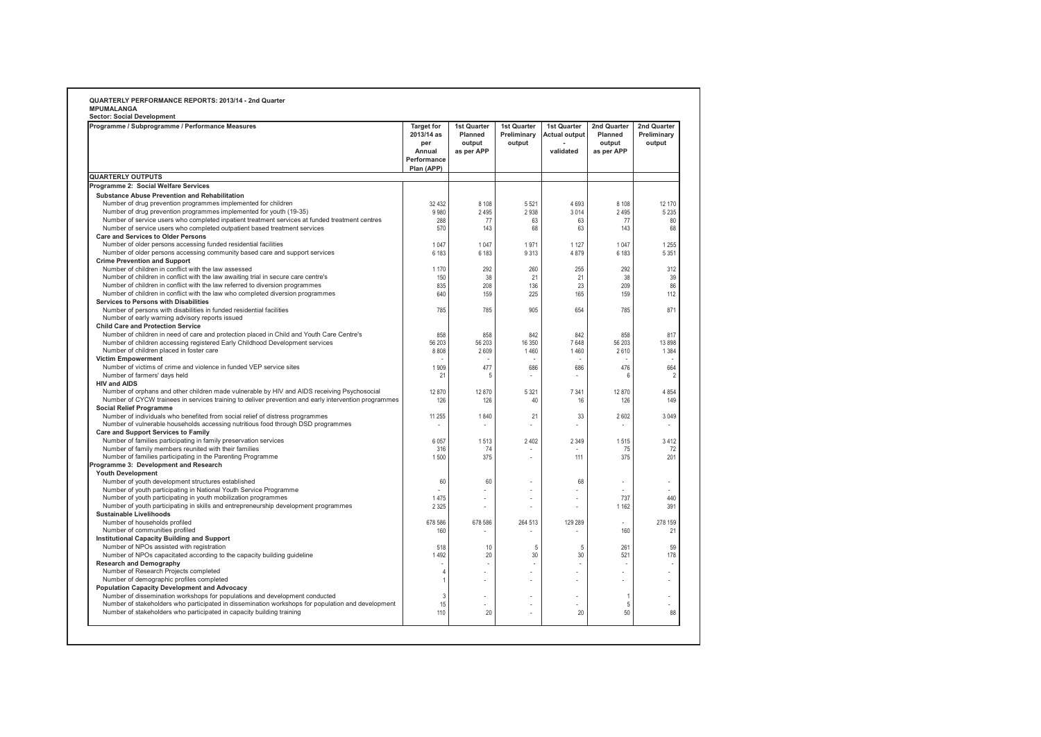| Programme / Subprogramme / Performance Measures                                                                                                                                                     | <b>Target for</b><br>2013/14 as<br>per<br>Annual<br>Performance<br>Plan (APP) | 1st Quarter<br>Planned<br>output<br>as per APP | 1st Quarter<br>Preliminary<br>output | 1st Quarter<br><b>Actual output</b><br>validated | 2nd Quarter<br>Planned<br>output<br>as per APP | 2nd Quarter<br>Preliminary<br>output |
|-----------------------------------------------------------------------------------------------------------------------------------------------------------------------------------------------------|-------------------------------------------------------------------------------|------------------------------------------------|--------------------------------------|--------------------------------------------------|------------------------------------------------|--------------------------------------|
| <b>QUARTERLY OUTPUTS</b>                                                                                                                                                                            |                                                                               |                                                |                                      |                                                  |                                                |                                      |
| Programme 2: Social Welfare Services                                                                                                                                                                |                                                                               |                                                |                                      |                                                  |                                                |                                      |
| Substance Abuse Prevention and Rehabilitation                                                                                                                                                       |                                                                               |                                                |                                      |                                                  |                                                |                                      |
| Number of drug prevention programmes implemented for children                                                                                                                                       | 32 4 32                                                                       | 8 1 0 8                                        | 5521                                 | 4693                                             | 8 1 0 8                                        | 12 170                               |
| Number of drug prevention programmes implemented for youth (19-35)                                                                                                                                  | 9980                                                                          | 2 4 9 5                                        | 2938                                 | 3014                                             | 2 4 9 5                                        | 5 2 3 5                              |
| Number of service users who completed inpatient treatment services at funded treatment centres                                                                                                      | 288                                                                           | 77                                             | 63                                   | 63                                               | 77                                             | 80                                   |
| Number of service users who completed outpatient based treatment services                                                                                                                           | 570                                                                           | 143                                            | 68                                   | 63                                               | 143                                            | 68                                   |
| <b>Care and Services to Older Persons</b><br>Number of older persons accessing funded residential facilities                                                                                        | 1 0 4 7                                                                       | 1 0 4 7                                        | 1971                                 | 1 1 2 7                                          | 1047                                           |                                      |
| Number of older persons accessing community based care and support services                                                                                                                         | 6 183                                                                         | 6 183                                          | 9313                                 | 4879                                             | 6 183                                          | 1 2 5 5<br>5 3 5 1                   |
| <b>Crime Prevention and Support</b>                                                                                                                                                                 |                                                                               |                                                |                                      |                                                  |                                                |                                      |
| Number of children in conflict with the law assessed                                                                                                                                                | 1 1 7 0                                                                       | 292                                            | 260                                  | 255                                              | 292                                            | 312                                  |
| Number of children in conflict with the law awaiting trial in secure care centre's                                                                                                                  | 150                                                                           | 38                                             | 21                                   | 21                                               | 38                                             | 39                                   |
| Number of children in conflict with the law referred to diversion programmes                                                                                                                        | 835                                                                           | 208                                            | 136                                  | 23                                               | 209                                            | 86                                   |
| Number of children in conflict with the law who completed diversion programmes                                                                                                                      | 640                                                                           | 159                                            | 225                                  | 165                                              | 159                                            | 112                                  |
| Services to Persons with Disabilities                                                                                                                                                               |                                                                               |                                                |                                      |                                                  |                                                |                                      |
| Number of persons with disabilities in funded residential facilities                                                                                                                                | 785                                                                           | 785                                            | 905                                  | 654                                              | 785                                            | 871                                  |
| Number of early warning advisory reports issued                                                                                                                                                     |                                                                               |                                                |                                      |                                                  |                                                |                                      |
| <b>Child Care and Protection Service</b>                                                                                                                                                            |                                                                               |                                                |                                      |                                                  |                                                |                                      |
| Number of children in need of care and protection placed in Child and Youth Care Centre's                                                                                                           | 858                                                                           | 858                                            | 842                                  | 842                                              | 858                                            | 817                                  |
| Number of children accessing registered Early Childhood Development services                                                                                                                        | 56 203                                                                        | 56 203                                         | 16 350                               | 7648                                             | 56 203                                         | 13898                                |
| Number of children placed in foster care                                                                                                                                                            | 8808                                                                          | 2609                                           | 1460                                 | 1460                                             | 2610                                           | 1 3 8 4                              |
| <b>Victim Empowerment</b>                                                                                                                                                                           |                                                                               |                                                |                                      |                                                  |                                                |                                      |
| Number of victims of crime and violence in funded VEP service sites                                                                                                                                 | 1909                                                                          | 477                                            | 686                                  | 686                                              | 476                                            | 664                                  |
| Number of farmers' days held                                                                                                                                                                        | 21                                                                            | 5                                              |                                      |                                                  | 6                                              |                                      |
| <b>HIV and AIDS</b>                                                                                                                                                                                 | 12 870                                                                        | 12 870                                         | 5 3 2 1                              | 7 3 4 1                                          | 12 870                                         | 4854                                 |
| Number of orphans and other children made vulnerable by HIV and AIDS receiving Psychosocial<br>Number of CYCW trainees in services training to deliver prevention and early intervention programmes | 126                                                                           | 126                                            | 40                                   | 16                                               |                                                |                                      |
| <b>Social Relief Programme</b>                                                                                                                                                                      |                                                                               |                                                |                                      |                                                  | 126                                            | 149                                  |
| Number of individuals who benefited from social relief of distress programmes                                                                                                                       | 11 255                                                                        | 1840                                           | 21                                   | 33                                               | 2602                                           | 3049                                 |
| Number of vulnerable households accessing nutritious food through DSD programmes                                                                                                                    |                                                                               |                                                | $\overline{a}$                       | $\overline{a}$                                   |                                                |                                      |
| <b>Care and Support Services to Family</b>                                                                                                                                                          |                                                                               |                                                |                                      |                                                  |                                                |                                      |
| Number of families participating in family preservation services                                                                                                                                    | 6 0 5 7                                                                       | 1513                                           | 2 4 0 2                              | 2 3 4 9                                          | 1515                                           | 3412                                 |
| Number of family members reunited with their families                                                                                                                                               | 316                                                                           | 74                                             |                                      |                                                  | 75                                             | 72                                   |
| Number of families participating in the Parenting Programme                                                                                                                                         | 1500                                                                          | 375                                            |                                      | 111                                              | 375                                            | 201                                  |
| Programme 3: Development and Research                                                                                                                                                               |                                                                               |                                                |                                      |                                                  |                                                |                                      |
| <b>Youth Development</b>                                                                                                                                                                            |                                                                               |                                                |                                      |                                                  |                                                |                                      |
| Number of youth development structures established                                                                                                                                                  | 60                                                                            | 60                                             |                                      | 68                                               |                                                | ٠                                    |
| Number of youth participating in National Youth Service Programme                                                                                                                                   |                                                                               |                                                |                                      | $\overline{a}$                                   |                                                |                                      |
| Number of youth participating in youth mobilization programmes                                                                                                                                      | 1475                                                                          |                                                |                                      |                                                  | 737                                            | 440                                  |
| Number of youth participating in skills and entrepreneurship development programmes                                                                                                                 | 2 3 2 5                                                                       |                                                |                                      |                                                  | 1 1 6 2                                        | 391                                  |
| <b>Sustainable Livelihoods</b>                                                                                                                                                                      |                                                                               |                                                |                                      |                                                  |                                                |                                      |
| Number of households profiled                                                                                                                                                                       | 678 586                                                                       | 678 586                                        | 264 513                              | 129 289                                          |                                                | 278 159                              |
| Number of communities profiled                                                                                                                                                                      | 160                                                                           |                                                |                                      |                                                  | 160                                            | 21                                   |
| <b>Institutional Capacity Building and Support</b><br>Number of NPOs assisted with registration                                                                                                     | 518                                                                           | 10                                             |                                      | 5                                                | 261                                            | 59                                   |
| Number of NPOs capacitated according to the capacity building guideline                                                                                                                             | 1 4 9 2                                                                       | 20                                             | 5<br>30                              | 30                                               | 521                                            | 178                                  |
| <b>Research and Demography</b>                                                                                                                                                                      |                                                                               |                                                |                                      |                                                  |                                                |                                      |
| Number of Research Projects completed                                                                                                                                                               | $\overline{4}$                                                                |                                                |                                      |                                                  |                                                |                                      |
| Number of demographic profiles completed                                                                                                                                                            | $\overline{1}$                                                                |                                                |                                      |                                                  |                                                |                                      |
| <b>Population Capacity Development and Advocacy</b>                                                                                                                                                 |                                                                               |                                                |                                      |                                                  |                                                |                                      |
| Number of dissemination workshops for populations and development conducted                                                                                                                         | 3                                                                             |                                                |                                      |                                                  | $\overline{1}$                                 | ÷                                    |
| Number of stakeholders who participated in dissemination workshops for population and development                                                                                                   | 15                                                                            |                                                |                                      |                                                  | 5                                              |                                      |
| Number of stakeholders who participated in capacity building training                                                                                                                               | 110                                                                           | 20                                             |                                      | 20                                               | 50                                             | 88                                   |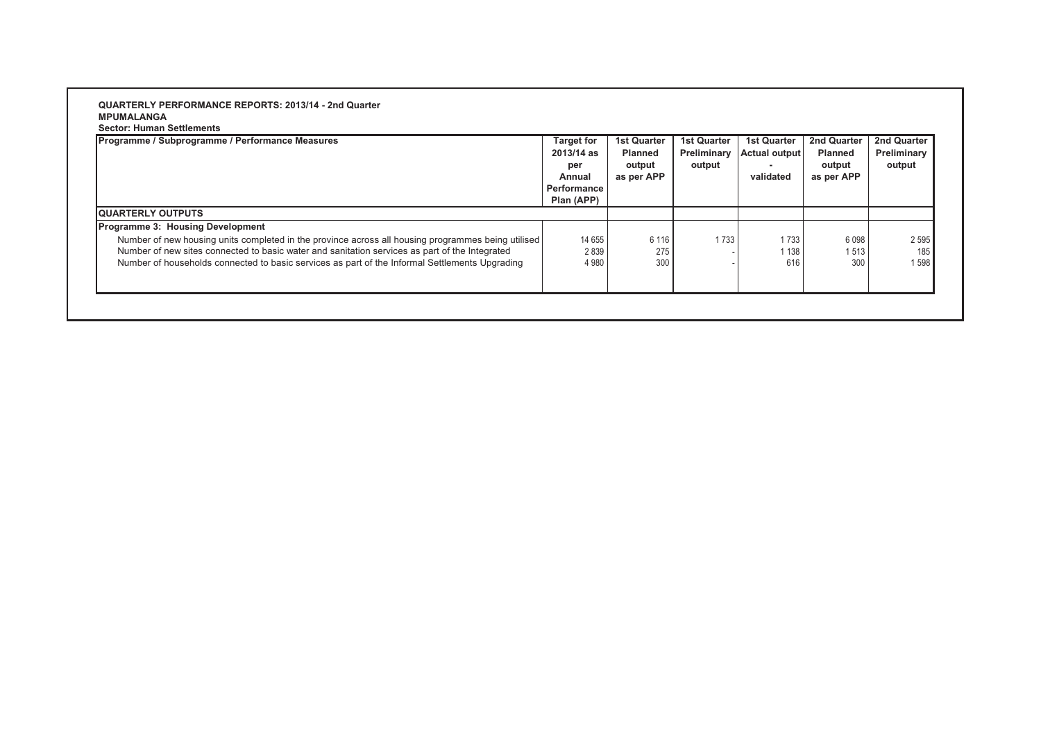**Sector: Human Settlements**

| Programme / Subprogramme / Performance Measures                                                    | <b>Target for</b><br>2013/14 as<br>per<br>Annual | <b>1st Quarter</b><br><b>Planned</b><br>output<br>as per APP | <b>1st Quarter</b><br>Preliminary<br>output | <b>1st Quarter</b><br><b>Actual output</b><br>validated | <b>2nd Quarter</b><br><b>Planned</b><br>output<br>as per APP | 2nd Quarter<br>Preliminary<br>output |
|----------------------------------------------------------------------------------------------------|--------------------------------------------------|--------------------------------------------------------------|---------------------------------------------|---------------------------------------------------------|--------------------------------------------------------------|--------------------------------------|
|                                                                                                    | Performance                                      |                                                              |                                             |                                                         |                                                              |                                      |
|                                                                                                    | Plan (APP)                                       |                                                              |                                             |                                                         |                                                              |                                      |
| <b>IQUARTERLY OUTPUTS</b>                                                                          |                                                  |                                                              |                                             |                                                         |                                                              |                                      |
| Programme 3: Housing Development                                                                   |                                                  |                                                              |                                             |                                                         |                                                              |                                      |
| Number of new housing units completed in the province across all housing programmes being utilised | 14 655                                           | 6 1 1 6                                                      | 1733                                        | 1733                                                    | 6098                                                         | 2 5 9 5                              |
| Number of new sites connected to basic water and sanitation services as part of the Integrated     | 2839                                             | 275                                                          |                                             | 1 1 3 8                                                 | 1513                                                         | 185                                  |
| Number of households connected to basic services as part of the Informal Settlements Upgrading     | 4 9 8 0                                          | 300                                                          |                                             | 616                                                     | 300                                                          | 1598                                 |
|                                                                                                    |                                                  |                                                              |                                             |                                                         |                                                              |                                      |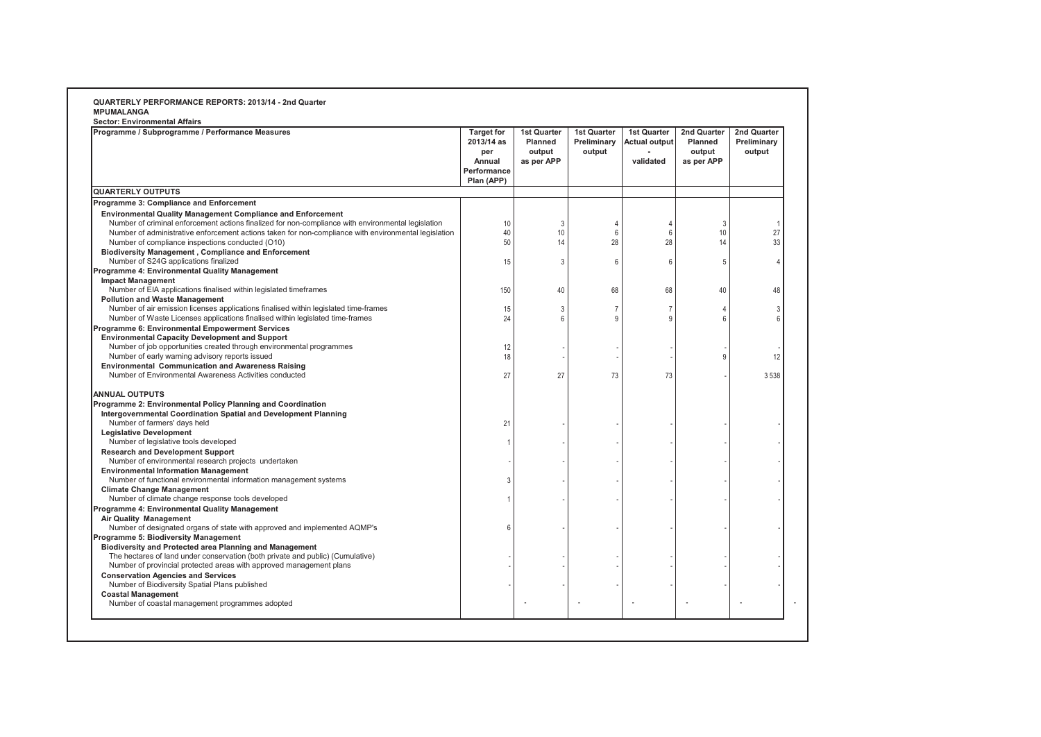| <b>Sector: Environmental Affairs</b>                                                                                                                                                                                                                                                                                                 |                                                                               |                                                       |                                             |                                                         |                                                |                                      |
|--------------------------------------------------------------------------------------------------------------------------------------------------------------------------------------------------------------------------------------------------------------------------------------------------------------------------------------|-------------------------------------------------------------------------------|-------------------------------------------------------|---------------------------------------------|---------------------------------------------------------|------------------------------------------------|--------------------------------------|
| Programme / Subprogramme / Performance Measures                                                                                                                                                                                                                                                                                      | <b>Target for</b><br>2013/14 as<br>per<br>Annual<br>Performance<br>Plan (APP) | <b>1st Quarter</b><br>Planned<br>output<br>as per APP | <b>1st Quarter</b><br>Preliminary<br>output | <b>1st Quarter</b><br><b>Actual output</b><br>validated | 2nd Quarter<br>Planned<br>output<br>as per APP | 2nd Quarter<br>Preliminary<br>output |
| <b>QUARTERLY OUTPUTS</b>                                                                                                                                                                                                                                                                                                             |                                                                               |                                                       |                                             |                                                         |                                                |                                      |
| Programme 3: Compliance and Enforcement                                                                                                                                                                                                                                                                                              |                                                                               |                                                       |                                             |                                                         |                                                |                                      |
| <b>Environmental Quality Management Compliance and Enforcement</b><br>Number of criminal enforcement actions finalized for non-compliance with environmental legislation<br>Number of administrative enforcement actions taken for non-compliance with environmental legislation<br>Number of compliance inspections conducted (O10) | 10<br>40<br>50                                                                | 3<br>10<br>14                                         | 4<br>6<br>28                                | 4<br>6<br>28                                            | 3<br>10<br>14                                  | 27<br>33                             |
| <b>Biodiversity Management, Compliance and Enforcement</b><br>Number of S24G applications finalized                                                                                                                                                                                                                                  | 15                                                                            | 3                                                     | 6                                           | 6                                                       | 5                                              |                                      |
| Programme 4: Environmental Quality Management<br><b>Impact Management</b><br>Number of EIA applications finalised within legislated timeframes                                                                                                                                                                                       | 150                                                                           | 40                                                    | 68                                          | 68                                                      | 40                                             | 48                                   |
| <b>Pollution and Waste Management</b><br>Number of air emission licenses applications finalised within legislated time-frames<br>Number of Waste Licenses applications finalised within legislated time-frames                                                                                                                       | 15<br>24                                                                      | 3<br>6                                                | $\overline{7}$<br>9                         | $\overline{7}$<br>9                                     | 4<br>6                                         |                                      |
| Programme 6: Environmental Empowerment Services<br><b>Environmental Capacity Development and Support</b><br>Number of job opportunities created through environmental programmes<br>Number of early warning advisory reports issued                                                                                                  | 12<br>18                                                                      |                                                       |                                             |                                                         | Ö                                              | 12                                   |
| <b>Environmental Communication and Awareness Raising</b><br>Number of Environmental Awareness Activities conducted                                                                                                                                                                                                                   | 27                                                                            | 27                                                    | 73                                          | 73                                                      |                                                | 3538                                 |
| <b>ANNUAL OUTPUTS</b><br>Programme 2: Environmental Policy Planning and Coordination<br>Intergovernmental Coordination Spatial and Development Planning<br>Number of farmers' days held                                                                                                                                              | 21                                                                            |                                                       |                                             |                                                         |                                                |                                      |
| <b>Legislative Development</b><br>Number of legislative tools developed                                                                                                                                                                                                                                                              |                                                                               |                                                       |                                             |                                                         |                                                |                                      |
| <b>Research and Development Support</b><br>Number of environmental research projects undertaken                                                                                                                                                                                                                                      |                                                                               |                                                       |                                             |                                                         |                                                |                                      |
| <b>Environmental Information Management</b><br>Number of functional environmental information management systems                                                                                                                                                                                                                     | $\mathcal{R}$                                                                 |                                                       |                                             |                                                         |                                                |                                      |
| <b>Climate Change Management</b><br>Number of climate change response tools developed                                                                                                                                                                                                                                                |                                                                               |                                                       |                                             |                                                         |                                                |                                      |
| Programme 4: Environmental Quality Management<br><b>Air Quality Management</b><br>Number of designated organs of state with approved and implemented AQMP's                                                                                                                                                                          | 6                                                                             |                                                       |                                             |                                                         |                                                |                                      |
| Programme 5: Biodiversity Management<br>Biodiversity and Protected area Planning and Management<br>The hectares of land under conservation (both private and public) (Cumulative)                                                                                                                                                    |                                                                               |                                                       |                                             |                                                         |                                                |                                      |
| Number of provincial protected areas with approved management plans<br><b>Conservation Agencies and Services</b><br>Number of Biodiversity Spatial Plans published                                                                                                                                                                   |                                                                               |                                                       |                                             |                                                         |                                                |                                      |
| <b>Coastal Management</b><br>Number of coastal management programmes adopted                                                                                                                                                                                                                                                         |                                                                               |                                                       |                                             |                                                         |                                                |                                      |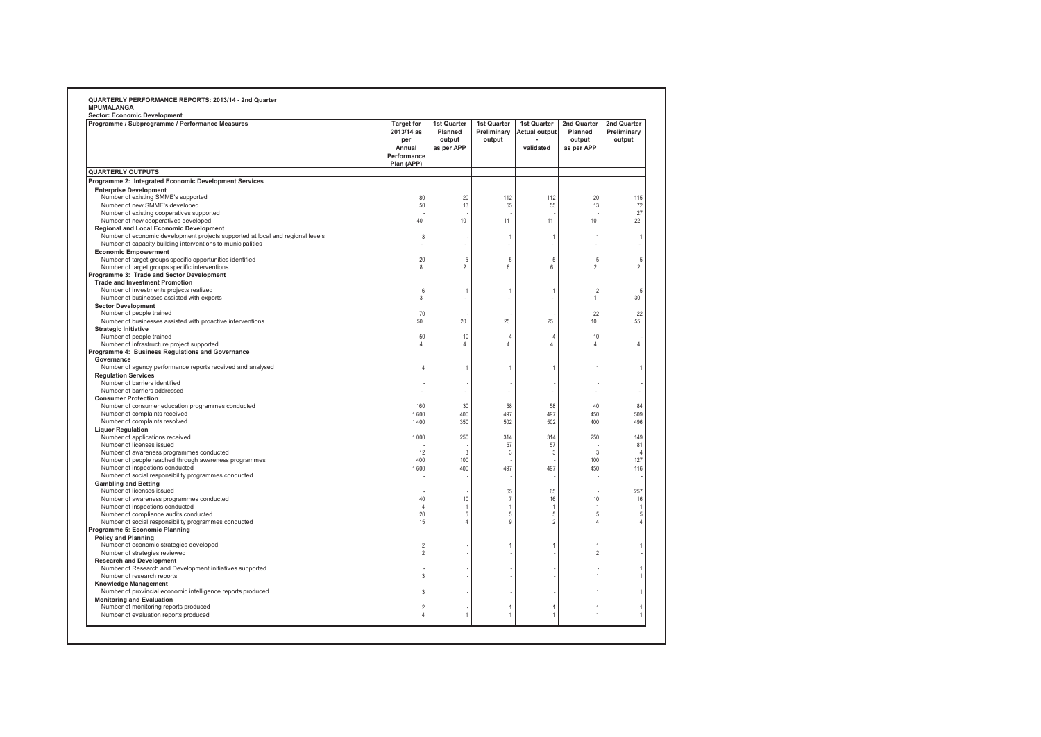| Programme / Subprogramme / Performance Measures                                                                                  | <b>Target for</b><br>2013/14 as<br>per<br>Annual<br>Performance<br>Plan (APP) | 1st Quarter<br>Planned<br>output<br>as per APP | 1st Quarter<br>Preliminary<br>output | 1st Quarter<br><b>Actual output</b><br>validated | 2nd Quarter<br>Planned<br>output<br>as per APP | 2nd Quarter<br>Preliminary<br>output |
|----------------------------------------------------------------------------------------------------------------------------------|-------------------------------------------------------------------------------|------------------------------------------------|--------------------------------------|--------------------------------------------------|------------------------------------------------|--------------------------------------|
| <b>QUARTERLY OUTPUTS</b>                                                                                                         |                                                                               |                                                |                                      |                                                  |                                                |                                      |
| Programme 2: Integrated Economic Development Services                                                                            |                                                                               |                                                |                                      |                                                  |                                                |                                      |
| <b>Enterprise Development</b>                                                                                                    |                                                                               |                                                |                                      |                                                  |                                                |                                      |
| Number of existing SMME's supported                                                                                              | 80                                                                            | 20                                             | 112                                  | 112                                              | 20                                             | 115                                  |
| Number of new SMME's developed                                                                                                   | 50                                                                            | 13                                             | 55                                   | 55                                               | 13                                             | 72                                   |
| Number of existing cooperatives supported                                                                                        |                                                                               |                                                |                                      |                                                  |                                                | 27                                   |
| Number of new cooperatives developed                                                                                             | 40                                                                            | 10                                             | 11                                   | 11                                               | 10                                             | 22                                   |
| <b>Regional and Local Economic Development</b><br>Number of economic development projects supported at local and regional levels | 3                                                                             |                                                |                                      | 1                                                |                                                |                                      |
| Number of capacity building interventions to municipalities                                                                      |                                                                               |                                                | $\mathbf{1}$                         |                                                  | $\overline{1}$                                 |                                      |
| <b>Economic Empowerment</b>                                                                                                      |                                                                               |                                                |                                      |                                                  |                                                |                                      |
| Number of target groups specific opportunities identified                                                                        | 20                                                                            | 5                                              | $\sqrt{5}$                           | 5                                                | 5                                              | 5                                    |
| Number of target groups specific interventions                                                                                   | 8                                                                             | $\sqrt{2}$                                     | $\,6\,$                              | 6                                                | $\overline{c}$                                 | $\overline{2}$                       |
| Programme 3: Trade and Sector Development                                                                                        |                                                                               |                                                |                                      |                                                  |                                                |                                      |
| <b>Trade and Investment Promotion</b>                                                                                            |                                                                               |                                                |                                      |                                                  |                                                |                                      |
| Number of investments projects realized                                                                                          | $\epsilon$                                                                    | -1                                             | 1                                    | 1                                                | $\overline{2}$                                 | 5                                    |
| Number of businesses assisted with exports                                                                                       | 3                                                                             |                                                |                                      |                                                  | $\mathbf{1}$                                   | 30                                   |
| <b>Sector Development</b>                                                                                                        |                                                                               |                                                |                                      |                                                  |                                                |                                      |
| Number of people trained                                                                                                         | 70                                                                            |                                                |                                      |                                                  | 22                                             | 22                                   |
| Number of businesses assisted with proactive interventions                                                                       | 50                                                                            | 20                                             | 25                                   | 25                                               | 10                                             | 55                                   |
| <b>Strategic Initiative</b>                                                                                                      |                                                                               |                                                |                                      |                                                  |                                                |                                      |
| Number of people trained                                                                                                         | 50                                                                            | 10                                             | $\overline{4}$                       | $\overline{4}$                                   | 10                                             |                                      |
| Number of infrastructure project supported                                                                                       | 4                                                                             | $\overline{4}$                                 | $\overline{4}$                       | $\overline{4}$                                   | 4                                              | $\overline{4}$                       |
| Programme 4: Business Regulations and Governance                                                                                 |                                                                               |                                                |                                      |                                                  |                                                |                                      |
| Governance                                                                                                                       |                                                                               |                                                |                                      |                                                  |                                                |                                      |
| Number of agency performance reports received and analysed                                                                       | ź                                                                             | $\mathbf{1}$                                   | 1                                    | $\overline{1}$                                   | $\overline{1}$                                 |                                      |
| <b>Regulation Services</b>                                                                                                       |                                                                               |                                                |                                      |                                                  |                                                |                                      |
| Number of barriers identified                                                                                                    |                                                                               |                                                |                                      |                                                  |                                                |                                      |
| Number of barriers addressed                                                                                                     |                                                                               |                                                |                                      |                                                  | ÷.                                             |                                      |
| <b>Consumer Protection</b>                                                                                                       |                                                                               |                                                |                                      |                                                  |                                                |                                      |
| Number of consumer education programmes conducted                                                                                | 160                                                                           | 30                                             | 58                                   | 58                                               | 40                                             | 84                                   |
| Number of complaints received                                                                                                    | 1600                                                                          | 400                                            | 497                                  | 497                                              | 450                                            | 509                                  |
| Number of complaints resolved                                                                                                    | 1400                                                                          | 350                                            | 502                                  | 502                                              | 400                                            | 496                                  |
| <b>Liquor Regulation</b>                                                                                                         | 1 0 0 0                                                                       | 250                                            | 314                                  | 314                                              | 250                                            | 149                                  |
| Number of applications received<br>Number of licenses issued                                                                     |                                                                               |                                                | 57                                   | 57                                               |                                                | 81                                   |
| Number of awareness programmes conducted                                                                                         | 12                                                                            | 3                                              | 3                                    | 3                                                | $\overline{3}$                                 | $\overline{4}$                       |
| Number of people reached through awareness programmes                                                                            | 400                                                                           | 100                                            |                                      |                                                  | 100                                            | 127                                  |
| Number of inspections conducted                                                                                                  | 1600                                                                          | 400                                            | 497                                  | 497                                              | 450                                            | 116                                  |
| Number of social responsibility programmes conducted                                                                             |                                                                               |                                                |                                      |                                                  |                                                |                                      |
| <b>Gambling and Betting</b>                                                                                                      |                                                                               |                                                |                                      |                                                  |                                                |                                      |
| Number of licenses issued                                                                                                        |                                                                               |                                                | 65                                   | 65                                               |                                                | 257                                  |
| Number of awareness programmes conducted                                                                                         | 40                                                                            | 10                                             | $\overline{7}$                       | 16                                               | 10                                             | 16                                   |
| Number of inspections conducted                                                                                                  | Ł.                                                                            | -1                                             | 1                                    | $\mathbf{1}$                                     | $\overline{1}$                                 |                                      |
| Number of compliance audits conducted                                                                                            | 20                                                                            | 5                                              | 5                                    | 5                                                | 5                                              | 5                                    |
| Number of social responsibility programmes conducted                                                                             | 15                                                                            | $\Delta$                                       | 9                                    | $\overline{c}$                                   | $\overline{4}$                                 |                                      |
| Programme 5: Economic Planning                                                                                                   |                                                                               |                                                |                                      |                                                  |                                                |                                      |
| <b>Policy and Planning</b>                                                                                                       |                                                                               |                                                |                                      |                                                  |                                                |                                      |
| Number of economic strategies developed                                                                                          | $\overline{\phantom{a}}$                                                      |                                                | 1                                    | $\mathbf{1}$                                     | $\overline{1}$                                 |                                      |
| Number of strategies reviewed                                                                                                    | $\overline{\phantom{a}}$                                                      |                                                |                                      |                                                  | $\overline{2}$                                 |                                      |
| <b>Research and Development</b>                                                                                                  |                                                                               |                                                |                                      |                                                  |                                                |                                      |
| Number of Research and Development initiatives supported                                                                         |                                                                               |                                                |                                      |                                                  |                                                |                                      |
| Number of research reports                                                                                                       | 3                                                                             |                                                |                                      |                                                  | $\overline{1}$                                 |                                      |
| <b>Knowledge Management</b>                                                                                                      |                                                                               |                                                |                                      |                                                  |                                                |                                      |
| Number of provincial economic intelligence reports produced                                                                      | 3                                                                             |                                                |                                      |                                                  | $\mathbf{1}$                                   |                                      |
| <b>Monitoring and Evaluation</b>                                                                                                 |                                                                               |                                                |                                      |                                                  |                                                |                                      |
| Number of monitoring reports produced                                                                                            | $\overline{2}$                                                                |                                                | 1                                    | 1                                                | $\overline{1}$                                 |                                      |
| Number of evaluation reports produced                                                                                            | 4                                                                             | $\mathbf{1}$                                   | 1                                    | 1                                                | $\overline{1}$                                 |                                      |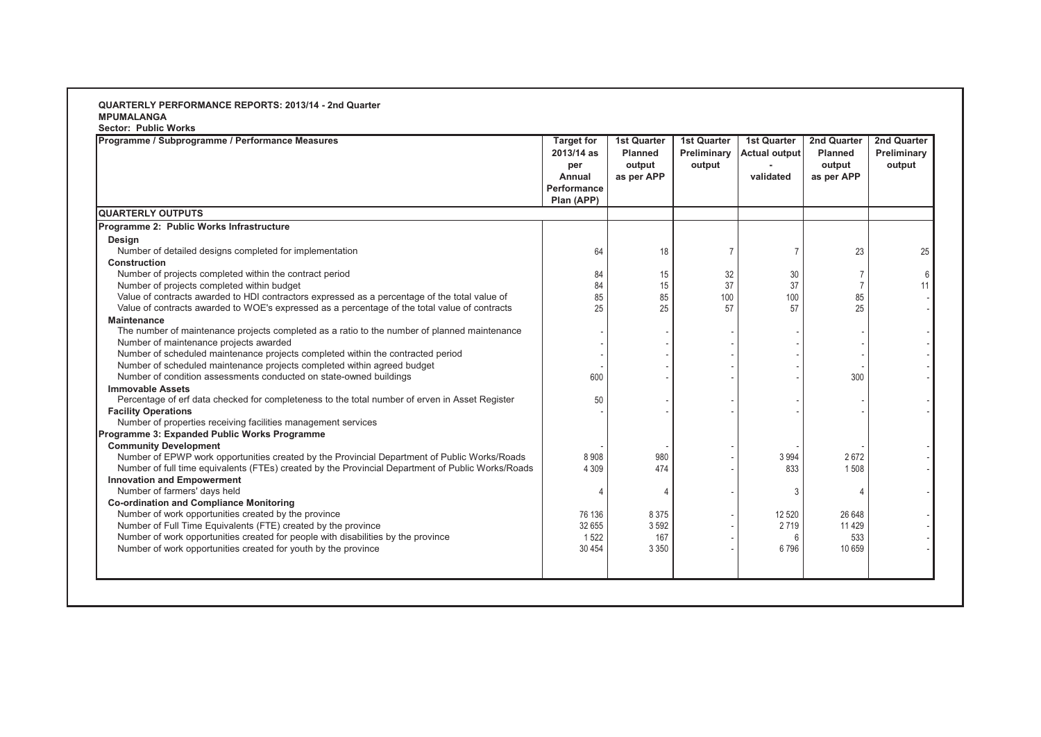**Sector: Public Works**

| Programme / Subprogramme / Performance Measures                                                   | <b>Target for</b><br>2013/14 as<br>per<br>Annual<br>Performance<br>Plan (APP) | <b>1st Quarter</b><br><b>Planned</b><br>output<br>as per APP | <b>1st Quarter</b><br>Preliminary<br>output | <b>1st Quarter</b><br><b>Actual output</b><br>validated | 2nd Quarter<br><b>Planned</b><br>output<br>as per APP | 2nd Quarter<br>Preliminary<br>output |
|---------------------------------------------------------------------------------------------------|-------------------------------------------------------------------------------|--------------------------------------------------------------|---------------------------------------------|---------------------------------------------------------|-------------------------------------------------------|--------------------------------------|
| <b>QUARTERLY OUTPUTS</b>                                                                          |                                                                               |                                                              |                                             |                                                         |                                                       |                                      |
| Programme 2: Public Works Infrastructure                                                          |                                                                               |                                                              |                                             |                                                         |                                                       |                                      |
| <b>Desian</b>                                                                                     |                                                                               |                                                              |                                             |                                                         |                                                       |                                      |
| Number of detailed designs completed for implementation                                           | 64                                                                            | 18                                                           | 7                                           | $\overline{7}$                                          | 23                                                    | 25                                   |
| Construction                                                                                      |                                                                               |                                                              |                                             |                                                         |                                                       |                                      |
| Number of projects completed within the contract period                                           | 84                                                                            | 15                                                           | 32                                          | 30                                                      | $\overline{7}$                                        | 6                                    |
| Number of projects completed within budget                                                        | 84                                                                            | 15                                                           | 37                                          | 37                                                      | $\overline{7}$                                        | 11                                   |
| Value of contracts awarded to HDI contractors expressed as a percentage of the total value of     | 85                                                                            | 85                                                           | 100                                         | 100                                                     | 85                                                    |                                      |
| Value of contracts awarded to WOE's expressed as a percentage of the total value of contracts     | 25                                                                            | 25                                                           | 57                                          | 57                                                      | 25                                                    |                                      |
| <b>Maintenance</b>                                                                                |                                                                               |                                                              |                                             |                                                         |                                                       |                                      |
| The number of maintenance projects completed as a ratio to the number of planned maintenance      |                                                                               |                                                              |                                             |                                                         |                                                       |                                      |
| Number of maintenance projects awarded                                                            |                                                                               |                                                              |                                             |                                                         |                                                       |                                      |
| Number of scheduled maintenance projects completed within the contracted period                   |                                                                               |                                                              |                                             |                                                         |                                                       |                                      |
| Number of scheduled maintenance projects completed within agreed budget                           |                                                                               |                                                              |                                             |                                                         |                                                       |                                      |
| Number of condition assessments conducted on state-owned buildings                                | 600                                                                           |                                                              |                                             |                                                         | 300                                                   |                                      |
| <b>Immovable Assets</b>                                                                           |                                                                               |                                                              |                                             |                                                         |                                                       |                                      |
| Percentage of erf data checked for completeness to the total number of erven in Asset Register    | 50                                                                            |                                                              |                                             |                                                         |                                                       |                                      |
| <b>Facility Operations</b>                                                                        |                                                                               |                                                              |                                             |                                                         |                                                       |                                      |
| Number of properties receiving facilities management services                                     |                                                                               |                                                              |                                             |                                                         |                                                       |                                      |
| Programme 3: Expanded Public Works Programme                                                      |                                                                               |                                                              |                                             |                                                         |                                                       |                                      |
| <b>Community Development</b>                                                                      |                                                                               |                                                              |                                             |                                                         |                                                       |                                      |
| Number of EPWP work opportunities created by the Provincial Department of Public Works/Roads      | 8908                                                                          | 980                                                          |                                             | 3994                                                    | 2672                                                  |                                      |
| Number of full time equivalents (FTEs) created by the Provincial Department of Public Works/Roads | 4 3 0 9                                                                       | 474                                                          |                                             | 833                                                     | 1508                                                  |                                      |
| <b>Innovation and Empowerment</b>                                                                 |                                                                               |                                                              |                                             |                                                         |                                                       |                                      |
| Number of farmers' days held                                                                      |                                                                               | 4                                                            |                                             | $\mathcal{R}$                                           | 4                                                     |                                      |
| <b>Co-ordination and Compliance Monitoring</b>                                                    |                                                                               |                                                              |                                             |                                                         |                                                       |                                      |
| Number of work opportunities created by the province                                              | 76 136                                                                        | 8 3 7 5                                                      |                                             | 12 5 20                                                 | 26 648                                                |                                      |
| Number of Full Time Equivalents (FTE) created by the province                                     | 32 655                                                                        | 3592                                                         |                                             | 2719                                                    | 11 4 29                                               |                                      |
| Number of work opportunities created for people with disabilities by the province                 | 1522                                                                          | 167                                                          |                                             | 6                                                       | 533                                                   |                                      |
| Number of work opportunities created for youth by the province                                    | 30 4 54                                                                       | 3 3 5 0                                                      |                                             | 6796                                                    | 10 659                                                |                                      |
|                                                                                                   |                                                                               |                                                              |                                             |                                                         |                                                       |                                      |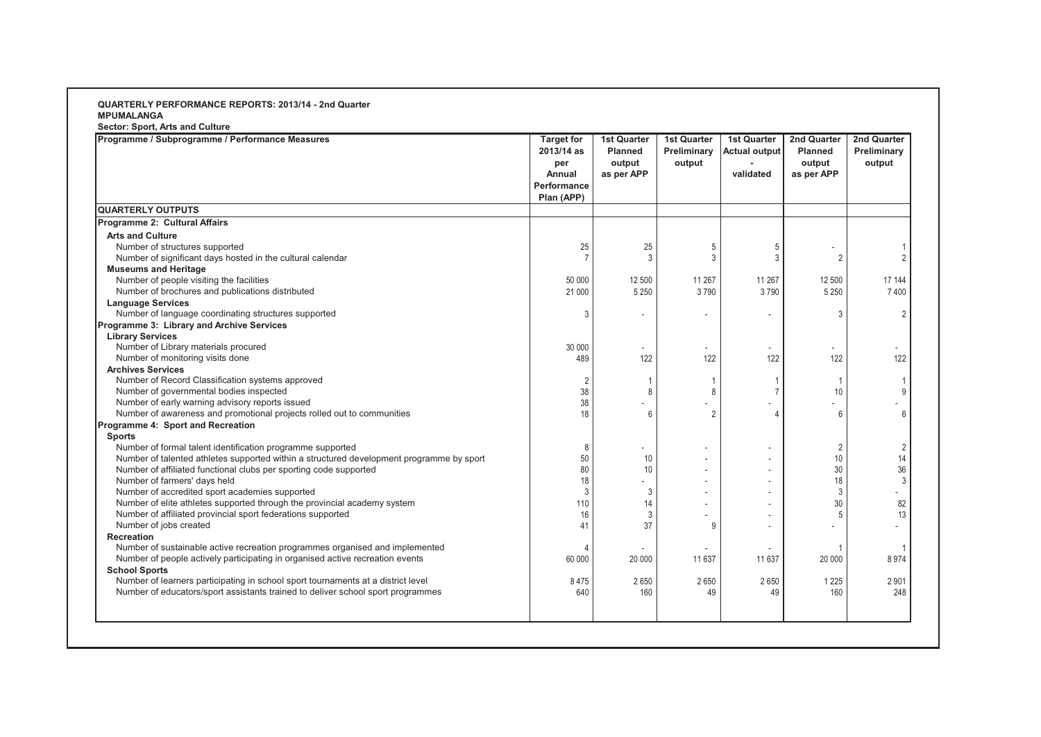**Sector: Sport, Arts and Culture**

| Programme / Subprogramme / Performance Measures                                          | <b>Target for</b><br>2013/14 as<br>per<br>Annual<br>Performance<br>Plan (APP) | <b>1st Quarter</b><br><b>Planned</b><br>output<br>as per APP | <b>1st Quarter</b><br>Preliminary<br>output | <b>1st Quarter</b><br><b>Actual output</b><br>validated | 2nd Quarter<br><b>Planned</b><br>output<br>as per APP | <b>2nd Quarter</b><br>Preliminary<br>output |
|------------------------------------------------------------------------------------------|-------------------------------------------------------------------------------|--------------------------------------------------------------|---------------------------------------------|---------------------------------------------------------|-------------------------------------------------------|---------------------------------------------|
| <b>QUARTERLY OUTPUTS</b>                                                                 |                                                                               |                                                              |                                             |                                                         |                                                       |                                             |
| Programme 2: Cultural Affairs                                                            |                                                                               |                                                              |                                             |                                                         |                                                       |                                             |
| <b>Arts and Culture</b>                                                                  |                                                                               |                                                              |                                             |                                                         |                                                       |                                             |
| Number of structures supported                                                           | 25                                                                            | 25                                                           | 5                                           | 5                                                       |                                                       |                                             |
| Number of significant days hosted in the cultural calendar                               | $\overline{7}$                                                                | 3                                                            | 3                                           | 3                                                       | $\overline{2}$                                        | $\overline{2}$                              |
| <b>Museums and Heritage</b>                                                              |                                                                               |                                                              |                                             |                                                         |                                                       |                                             |
| Number of people visiting the facilities                                                 | 50 000                                                                        | 12 500                                                       | 11 267                                      | 11 267                                                  | 12 500                                                | 17 144                                      |
| Number of brochures and publications distributed                                         | 21 000                                                                        | 5 2 5 0                                                      | 3790                                        | 3790                                                    | 5 2 5 0                                               | 7400                                        |
| <b>Language Services</b>                                                                 |                                                                               |                                                              |                                             |                                                         |                                                       |                                             |
| Number of language coordinating structures supported                                     | 3                                                                             |                                                              |                                             |                                                         | 3                                                     | $\overline{2}$                              |
| Programme 3: Library and Archive Services                                                |                                                                               |                                                              |                                             |                                                         |                                                       |                                             |
| <b>Library Services</b>                                                                  |                                                                               |                                                              |                                             |                                                         |                                                       |                                             |
| Number of Library materials procured                                                     | 30 000                                                                        |                                                              |                                             |                                                         |                                                       |                                             |
| Number of monitoring visits done                                                         | 489                                                                           | 122                                                          | 122                                         | 122                                                     | 122                                                   | 122                                         |
| <b>Archives Services</b>                                                                 |                                                                               |                                                              |                                             |                                                         |                                                       |                                             |
| Number of Record Classification systems approved                                         | $\overline{2}$                                                                | 1                                                            |                                             |                                                         |                                                       |                                             |
| Number of governmental bodies inspected                                                  | 38                                                                            | 8                                                            | 8                                           |                                                         | 10                                                    | 9                                           |
| Number of early warning advisory reports issued                                          | 38                                                                            |                                                              |                                             |                                                         |                                                       |                                             |
| Number of awareness and promotional projects rolled out to communities                   | 18                                                                            | 6                                                            | $\mathcal{P}$                               |                                                         | 6                                                     | 6                                           |
| Programme 4: Sport and Recreation                                                        |                                                                               |                                                              |                                             |                                                         |                                                       |                                             |
| <b>Sports</b>                                                                            |                                                                               |                                                              |                                             |                                                         |                                                       |                                             |
| Number of formal talent identification programme supported                               | 8                                                                             |                                                              |                                             |                                                         | $\overline{2}$                                        | 2                                           |
| Number of talented athletes supported within a structured development programme by sport | 50                                                                            | 10                                                           |                                             |                                                         | 10                                                    | 14                                          |
| Number of affiliated functional clubs per sporting code supported                        | 80                                                                            | 10                                                           |                                             |                                                         | 30                                                    | 36                                          |
| Number of farmers' days held                                                             | 18                                                                            |                                                              |                                             |                                                         | 18                                                    | 3                                           |
| Number of accredited sport academies supported                                           | 3                                                                             | 3                                                            |                                             |                                                         | 3                                                     |                                             |
| Number of elite athletes supported through the provincial academy system                 | 110                                                                           | 14                                                           |                                             |                                                         | 30                                                    | 82                                          |
| Number of affiliated provincial sport federations supported                              | 16                                                                            | 3                                                            |                                             |                                                         | 5                                                     | 13                                          |
| Number of jobs created                                                                   | 41                                                                            | 37                                                           | g                                           | $\overline{a}$                                          |                                                       | ٠                                           |
| Recreation                                                                               |                                                                               |                                                              |                                             |                                                         |                                                       |                                             |
| Number of sustainable active recreation programmes organised and implemented             |                                                                               |                                                              |                                             |                                                         |                                                       |                                             |
| Number of people actively participating in organised active recreation events            | 60 000                                                                        | 20 000                                                       | 11 637                                      | 11 637                                                  | 20 000                                                | 8974                                        |
| <b>School Sports</b>                                                                     |                                                                               |                                                              |                                             |                                                         |                                                       |                                             |
| Number of learners participating in school sport tournaments at a district level         | 8475                                                                          | 2650                                                         | 2650                                        | 2650                                                    | 1 2 2 5                                               | 2901                                        |
| Number of educators/sport assistants trained to deliver school sport programmes          | 640                                                                           | 160                                                          | 49                                          | 49                                                      | 160                                                   | 248                                         |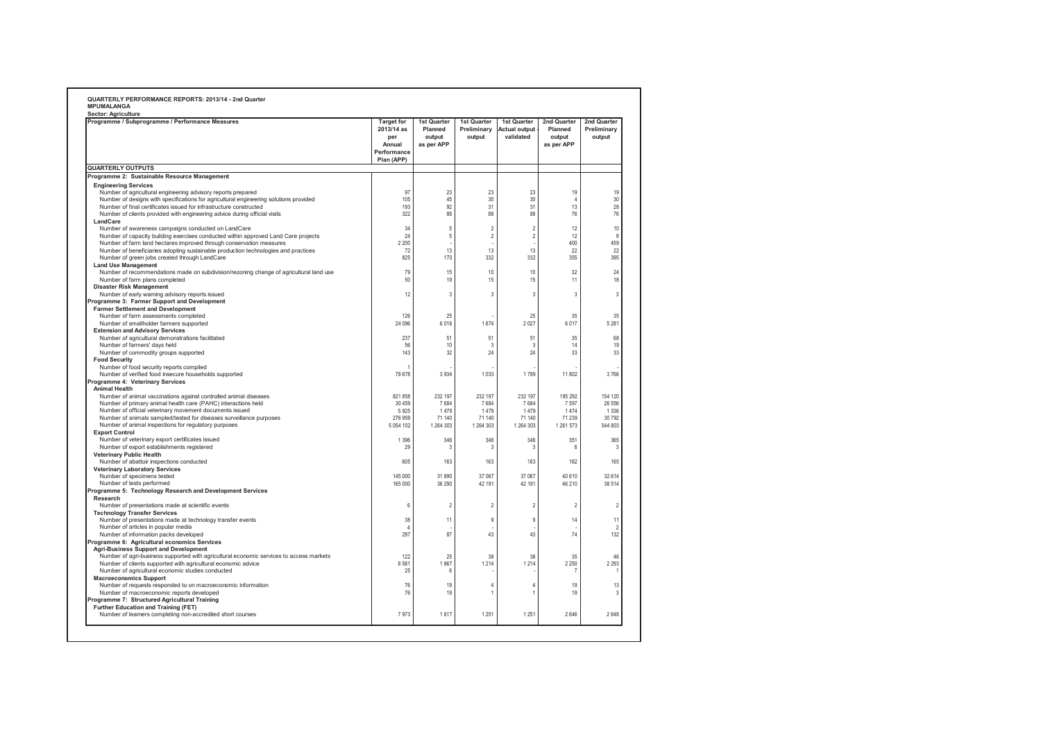| Programme / Subprogramme / Performance Measures                                                                                                             | <b>Target for</b><br>2013/14 as            | 1st Quarter<br>Planned  | 1st Quarter<br>Preliminary | 1st Quarter<br><b>Actual output</b> | 2nd Quarter<br>Planned | 2nd Quarter<br>Preliminary |
|-------------------------------------------------------------------------------------------------------------------------------------------------------------|--------------------------------------------|-------------------------|----------------------------|-------------------------------------|------------------------|----------------------------|
|                                                                                                                                                             | per<br>Annual<br>Performance<br>Plan (APP) | output<br>as per APP    | output                     | validated                           | output<br>as per APP   | output                     |
| <b>QUARTERLY OUTPUTS</b>                                                                                                                                    |                                            |                         |                            |                                     |                        |                            |
| Programme 2: Sustainable Resource Management                                                                                                                |                                            |                         |                            |                                     |                        |                            |
| <b>Engineering Services</b>                                                                                                                                 |                                            |                         |                            |                                     |                        |                            |
| Number of agricultural engineering advisory reports prepared                                                                                                | 97                                         | 23                      | 23                         | 23                                  | 19                     | 19                         |
| Number of designs with specifications for agricultural engineering solutions provided<br>Number of final certificates issued for infrastructure constructed | 105<br>193                                 | 45<br>92                | 30<br>31                   | 30<br>31                            | 4<br>13                | 30<br>28                   |
| Number of clients provided with engineering advice during official visits                                                                                   | 322                                        | 88                      | 88                         | 88                                  | 76                     | 76                         |
| LandCare                                                                                                                                                    |                                            |                         |                            |                                     |                        |                            |
| Number of awareness campaigns conducted on LandCare                                                                                                         | 34                                         | 5                       | $\overline{2}$             | $\overline{2}$                      | 12                     | 10                         |
| Number of capacity building exercises conducted within approved Land Care projects                                                                          | 24                                         | $\sqrt{5}$              | $\overline{2}$             | $\overline{2}$                      | 12                     | 9                          |
| Number of farm land hectares improved through conservation measures                                                                                         | 2 2 0 0                                    |                         |                            |                                     | 400                    | 459                        |
| Number of beneficiaries adopting sustainable production technologies and practices<br>Number of green jobs created through LandCare                         | 72<br>825                                  | 13<br>170               | 13<br>332                  | 13<br>332                           | 22<br>355              | 22<br>395                  |
| <b>Land Use Management</b>                                                                                                                                  |                                            |                         |                            |                                     |                        |                            |
| Number of recommendations made on subdivision/rezoning change of agricultural land use                                                                      | 79                                         | 15                      | 10                         | 10                                  | 32                     | 24                         |
| Number of farm plans completed                                                                                                                              | 50                                         | 19                      | 15                         | 15                                  | 11                     | 18                         |
| <b>Disaster Risk Management</b>                                                                                                                             |                                            |                         |                            |                                     |                        |                            |
| Number of early warning advisory reports issued                                                                                                             | 12                                         | $\overline{\mathbf{3}}$ | 3                          | 3                                   | 3                      | 3                          |
| Programme 3: Farmer Support and Development<br><b>Farmer Settlement and Development</b>                                                                     |                                            |                         |                            |                                     |                        |                            |
| Number of farm assessments completed                                                                                                                        | 126                                        | 25                      |                            | 25                                  | 35                     | 35                         |
| Number of smallholder farmers supported                                                                                                                     | 24 096                                     | 6016                    | 1674                       | 2027                                | 6017                   | 5 2 8 1                    |
| <b>Extension and Advisory Services</b>                                                                                                                      |                                            |                         |                            |                                     |                        |                            |
| Number of agricultural demonstrations facilitated                                                                                                           | 237                                        | 51                      | 51                         | 51                                  | 35                     | 68                         |
| Number of farmers' days held                                                                                                                                | 56                                         | 10                      | 3                          | 3                                   | 14                     | 19                         |
| Number of commodity groups supported<br><b>Food Security</b>                                                                                                | 143                                        | 32                      | 24                         | 24                                  | 33                     | 33                         |
| Number of food security reports compiled                                                                                                                    |                                            |                         |                            |                                     |                        |                            |
| Number of verified food insecure households supported                                                                                                       | 78 678                                     | 3934                    | 1033                       | 1789                                | 11 802                 | 3766                       |
| Programme 4: Veterinary Services                                                                                                                            |                                            |                         |                            |                                     |                        |                            |
| <b>Animal Health</b>                                                                                                                                        |                                            |                         |                            |                                     |                        |                            |
| Number of animal vaccinations against controlled animal diseases                                                                                            | 821 858<br>30 459                          | 232 197<br>7684         | 232 197                    | 232 197                             | 195 292<br>7.597       | 154 120                    |
| Number of primary animal health care (PAHC) interactions held<br>Number of official veterinary movement documents issued                                    | 5925                                       | 1479                    | 7684<br>1479               | 7684<br>1 479                       | 1 474                  | 26 55 6<br>1 3 3 6         |
| Number of animals sampled/tested for diseases surveillance purposes                                                                                         | 276 959                                    | 71 140                  | 71 140                     | 71 140                              | 71 239                 | 30 792                     |
| Number of animal inspections for regulatory purposes                                                                                                        | 5 0 5 4 1 0 2                              | 1 264 303               | 1 264 303                  | 1 264 303                           | 1 261 573              | 544 803                    |
| <b>Export Control</b>                                                                                                                                       |                                            |                         |                            |                                     |                        |                            |
| Number of veterinary export certificates issued                                                                                                             | 1 3 9 6                                    | 346                     | 346                        | 346                                 | 351                    | 365                        |
| Number of export establishments registered                                                                                                                  | 29                                         | 3                       | 3                          | 3                                   | 6                      | 3                          |
| <b>Veterinary Public Health</b><br>Number of abattoir inspections conducted                                                                                 | 605                                        | 163                     | 163                        | 163                                 | 162                    | 165                        |
| <b>Veterinary Laboratory Services</b>                                                                                                                       |                                            |                         |                            |                                     |                        |                            |
| Number of specimens tested                                                                                                                                  | 145 000                                    | 31 890                  | 37 067                     | 37 067                              | 40 610                 | 32 614                     |
| Number of tests performed                                                                                                                                   | 165 000                                    | 36 290                  | 42 191                     | 42 191                              | 46 210                 | 38 514                     |
| Programme 5: Technology Research and Development Services                                                                                                   |                                            |                         |                            |                                     |                        |                            |
| Research                                                                                                                                                    |                                            |                         |                            |                                     |                        |                            |
| Number of presentations made at scientific events                                                                                                           | 6                                          | $\overline{2}$          | $\overline{2}$             | 2                                   | $\overline{2}$         |                            |
| <b>Technology Transfer Services</b><br>Number of presentations made at technology transfer events                                                           | 38                                         | 11                      | $\mathbf{q}$               | $\overline{9}$                      | 14                     | 11                         |
| Number of articles in popular media                                                                                                                         | $\Lambda$                                  |                         |                            |                                     |                        | $\overline{\phantom{a}}$   |
| Number of information packs developed                                                                                                                       | 297                                        | 87                      | 43                         | 43                                  | 74                     | 132                        |
| Programme 6: Agricultural economics Services                                                                                                                |                                            |                         |                            |                                     |                        |                            |
| <b>Agri-Business Support and Development</b>                                                                                                                |                                            |                         |                            |                                     |                        |                            |
| Number of agri-business supported with agricultural economic services to access markets<br>Number of clients supported with agricultural economic advice    | 122                                        | 25                      | 38                         | 38                                  | 35                     | 46                         |
| Number of agricultural economic studies conducted                                                                                                           | 8581<br>25                                 | 1867<br>6               | 1 2 1 4                    | 1 2 1 4                             | 2 2 5 0<br>-1          | 2 2 9 3                    |
| <b>Macroeconomics Support</b>                                                                                                                               |                                            |                         |                            |                                     |                        |                            |
| Number of requests responded to on macroeconomic information                                                                                                | 76                                         | 19                      | $\Delta$                   | $\Delta$                            | 19                     | 13                         |
| Number of macroeconomic reports developed                                                                                                                   | 76                                         | 19                      |                            |                                     | 19                     | 3                          |
| Programme 7: Structured Agricultural Training                                                                                                               |                                            |                         |                            |                                     |                        |                            |
| Further Education and Training (FET)                                                                                                                        |                                            |                         |                            |                                     |                        |                            |
| Number of learners completing non-accredited short courses                                                                                                  | 7973                                       | 1617                    | 1251                       | 1 2 5 1                             | 2646                   | 2 6 4 8                    |